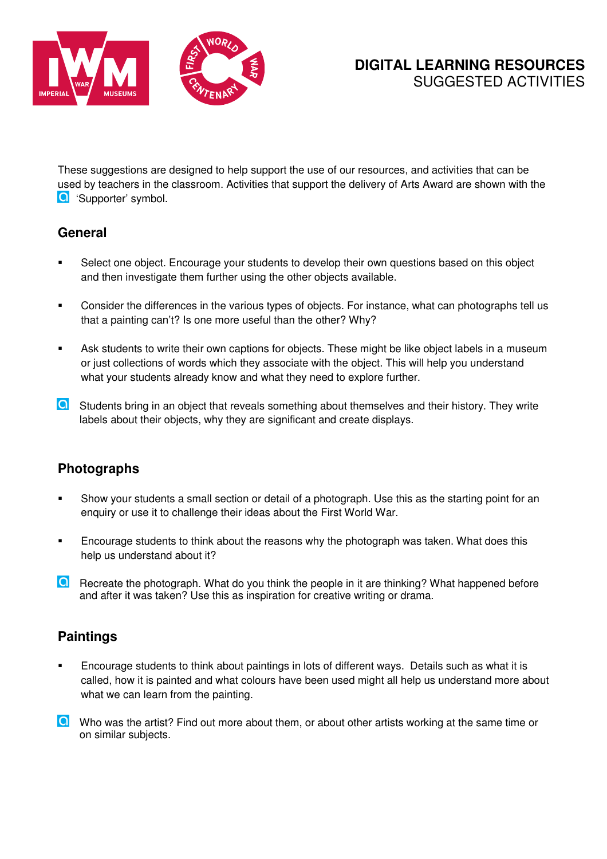

These suggestions are designed to help support the use of our resources, and activities that can be used by teachers in the classroom. Activities that support the delivery of Arts Award are shown with the **Q** 'Supporter' symbol.

## **General**

- Select one object. Encourage your students to develop their own questions based on this object and then investigate them further using the other objects available.
- Consider the differences in the various types of objects. For instance, what can photographs tell us that a painting can't? Is one more useful than the other? Why?
- Ask students to write their own captions for objects. These might be like object labels in a museum or just collections of words which they associate with the object. This will help you understand what your students already know and what they need to explore further.
- **O** Students bring in an object that reveals something about themselves and their history. They write labels about their objects, why they are significant and create displays.

## **Photographs**

- Show your students a small section or detail of a photograph. Use this as the starting point for an enquiry or use it to challenge their ideas about the First World War.
- Encourage students to think about the reasons why the photograph was taken. What does this help us understand about it?
- Recreate the photograph. What do you think the people in it are thinking? What happened before and after it was taken? Use this as inspiration for creative writing or drama.

## **Paintings**

- Encourage students to think about paintings in lots of different ways. Details such as what it is called, how it is painted and what colours have been used might all help us understand more about what we can learn from the painting.
- **O** Who was the artist? Find out more about them, or about other artists working at the same time or on similar subjects.